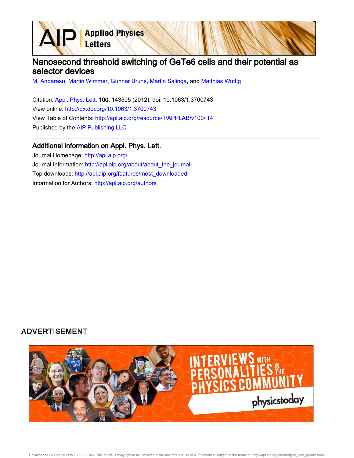

M. Anbarasu, Martin Wimmer, Gunnar Bruns, Martin Salinga, and Matthias Wuttig

Citation: Appl. Phys. Lett. 100, 143505 (2012); doi: 10.1063/1.3700743 View online: http://dx.doi.org/10.1063/1.3700743 View Table of Contents: http://apl.aip.org/resource/1/APPLAB/v100/i14 Published by the AIP Publishing LLC.

**Applied Physics** 

Letters

## Additional information on Appl. Phys. Lett.

Journal Homepage: http://apl.aip.org/ Journal Information: http://apl.aip.org/about/about\_the\_journal Top downloads: http://apl.aip.org/features/most\_downloaded Information for Authors: http://apl.aip.org/authors

## **ADVERTISEMENT**

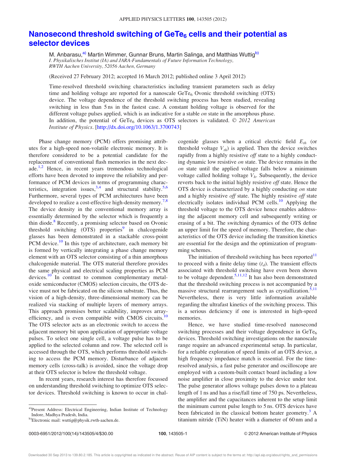## Nanosecond threshold switching of GeTe $_6$  cells and their potential as selector devices

M. Anbarasu,<sup>a)</sup> Martin Wimmer, Gunnar Bruns, Martin Salinga, and Matthias Wuttig<sup>b)</sup> I. Physikalisches Institut (IA) and JARA-Fundamentals of Future Information Technology, RWTH Aachen University, 52056 Aachen, Germany

(Received 27 February 2012; accepted 16 March 2012; published online 3 April 2012)

Time-resolved threshold switching characteristics including transient parameters such as delay time and holding voltage are reported for a nanoscale  $GeTe_6$  Ovonic threshold switching (OTS) device. The voltage dependence of the threshold switching process has been studied, revealing switching in less than 5 ns in the fastest case. A constant holding voltage is observed for the different voltage pulses applied, which is an indicative for a stable  $\omega n$  state in the amorphous phase. In addition, the potential of GeTe<sub>6</sub> devices as OTS selectors is validated.  $\odot$  2012 American Institute of Physics. [http://dx.doi.org/10.1063/1.3700743]

Phase change memory (PCM) offers promising attributes for a high-speed non-volatile electronic memory. It is therefore considered to be a potential candidate for the replacement of conventional flash memories in the next decade.<sup>1,2</sup> Hence, in recent years tremendous technological efforts have been devoted to improve the reliability and performance of PCM devices in terms of programming characteristics, integration issues,  $3,4$  and structural stability.  $5,6$ Furthermore, several types of PCM architectures have been developed to realize a cost-effective high-density memory.<sup>7,8</sup> The device density in the conventional memory array is essentially determined by the selector which is frequently a thin diode.<sup>8</sup> Recently, a promising selector based on Ovonic threshold switching (OTS) properties<sup>9</sup> in chalcogenide glasses has been demonstrated in a stackable cross-point PCM device.<sup>10</sup> In this type of architecture, each memory bit is formed by vertically integrating a phase change memory element with an OTS selector consisting of a thin amorphous chalcogenide material. The OTS material therefore provides the same physical and electrical scaling properties as PCM devices. $\frac{10}{10}$  In contrast to common complementary metaloxide semiconductor (CMOS) selection circuits, the OTS device must not be fabricated on the silicon substrate. Thus, the vision of a high-density, three-dimensional memory can be realized via stacking of multiple layers of memory arrays. This approach promises better scalability, improves arrayefficiency, and is even compatible with CMOS circuits.<sup>10</sup> The OTS selector acts as an electronic switch to access the adjacent memory bit upon application of appropriate voltage pulses. To select one single cell, a voltage pulse has to be applied to the selected column and row. The selected cell is accessed through the OTS, which performs threshold switching to access the PCM memory. Disturbance of adjacent memory cells (cross-talk) is avoided, since the voltage drop at their OTS selector is below the threshold voltage.

In recent years, research interest has therefore focussed on understanding threshold switching to optimize OTS selector devices. Threshold switching is known to occur in chalcogenide glasses when a critical electric field  $E<sub>th</sub>$  (or threshold voltage  $V_{th}$ ) is applied. Then the device switches rapidly from a highly resistive off state to a highly conducting dynamic low resistive on state. The device remains in the on state until the applied voltage falls below a minimum voltage called holding voltage  $V<sub>h</sub>$ . Subsequently, the device reverts back to the initial highly resistive off state. Hence the OTS device is characterized by a highly conducting on state and a highly resistive off state. The highly resistive off state electrically isolates individual PCM cells. $^{10}$  Applying the threshold voltage to the OTS device hence enables addressing the adjacent memory cell and subsequently writing or erasing of a bit. The switching dynamics of the OTS define an upper limit for the speed of memory. Therefore, the characteristics of the OTS device including the transition kinetics are essential for the design and the optimization of programming schemes.

The initiation of threshold switching has been reported $11$ to proceed with a finite delay time  $(t_d)$ . The transient effects associated with threshold switching have even been shown to be voltage dependent.<sup>5,11,12</sup> It has also been demonstrated that the threshold switching process is not accompanied by a massive structural rearrangement such as crystallization.<sup>5,11</sup> Nevertheless, there is very little information available regarding the ultrafast kinetics of the switching process. This is a serious deficiency if one is interested in high-speed memories.

Hence, we have studied time-resolved nanosecond switching processes and their voltage dependence in  $GeTe<sub>6</sub>$ devices. Threshold switching investigations on the nanoscale range require an advanced experimental setup. In particular, for a reliable exploration of speed limits of an OTS device, a high frequency impedance match is essential. For the timeresolved analysis, a fast pulse generator and oscilloscope are employed with a custom-built contact board including a low noise amplifier in close proximity to the device under test. The pulse generator allows voltage pulses down to a plateau length of 1 ns and has a rise/fall time of 750 ps. Nevertheless, the amplifier and the capacitances inherent to the setup limit the minimum current pulse length to 5 ns. OTS devices have been fabricated in the classical bottom heater geometry.<sup>3</sup> A titanium nitride (TiN) heater with a diameter of 60 nm and a

a)Present Address: Electrical Engineering, Indian Institute of Technology Indore, Madhya Pradesh, India.

b)Electronic mail: wuttig@physik.rwth-aachen.de.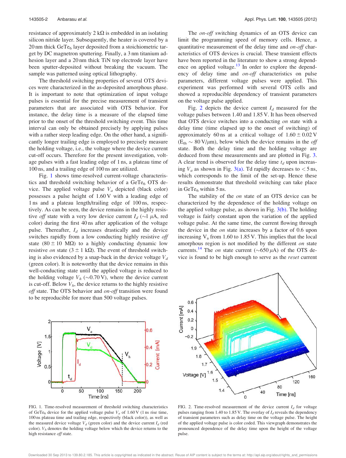resistance of approximately  $2 \text{ k}\Omega$  is embedded in an isolating silicon nitride layer. Subsequently, the heater is covered by a 20 nm thick GeTe<sub>6</sub> layer deposited from a stoichiometric target by DC magnetron sputtering. Finally, a 3 nm titanium adhesion layer and a 20 nm thick TiN top electrode layer have been sputter-deposited without breaking the vacuum. The sample was patterned using optical lithography.

The threshold switching properties of several OTS devices were characterized in the as-deposited amorphous phase. It is important to note that optimization of input voltage pulses is essential for the precise measurement of transient parameters that are associated with OTS behavior. For instance, the delay time is a measure of the elapsed time prior to the onset of the threshold switching event. This time interval can only be obtained precisely by applying pulses with a rather steep leading edge. On the other hand, a significantly longer trailing edge is employed to precisely measure the holding voltage, i.e., the voltage where the device current cut-off occurs. Therefore for the present investigation, voltage pulses with a fast leading edge of 1 ns, a plateau time of 100 ns, and a trailing edge of 100 ns are utilized.

Fig. 1 shows time-resolved current-voltage characteristics and threshold switching behavior of a GeTe $_6$  OTS device. The applied voltage pulse  $V_a$  depicted (black color) possesses a pulse height of 1.60 V with a leading edge of 1 ns and a plateau length/trailing edge of 100 ns, respectively. As can be seen, the device remains in the highly resistive *off* state with a very low device current  $I_d$  ( $\sim$ I  $\mu$ A, red color) during the first 40 ns after application of the voltage pulse. Thereafter,  $I_d$  increases drastically and the device switches rapidly from a low conducting highly resistive off state  $(80 \pm 10 \text{ M}\Omega)$  to a highly conducting dynamic low resistive on state  $(3 \pm 1 \text{ k}\Omega)$ . The event of threshold switching is also evidenced by a snap-back in the device voltage  $V_d$ (green color). It is noteworthy that the device remains in this well-conducting state until the applied voltage is reduced to the holding voltage  $V_h$  ( $\sim$ 0.70 V), where the device current is cut-off. Below  $V<sub>h</sub>$ , the device returns to the highly resistive off state. The OTS behavior and on-off transition were found to be reproducible for more than 500 voltage pulses.



FIG. 1. Time-resolved measurement of threshold switching characteristics of GeTe<sub>6</sub> device for the applied voltage pulse  $V_a$  of 1.60 V (1 ns rise time, 100 ns plateau time and trailing edge, respectively (black color)), as well as the measured device voltage  $V_d$  (green color) and the device current  $I_d$  (red color).  $V<sub>h</sub>$  denotes the holding voltage below which the device returns to the high resistance off state.

The *on-off* switching dynamics of an OTS device can limit the programming speed of memory cells. Hence, a quantitative measurement of the delay time and *on-off* characteristics of OTS devices is crucial. These transient effects have been reported in the literature to show a strong dependence on applied voltage.<sup>13</sup> In order to explore the dependency of delay time and on-off characteristics on pulse parameters, different voltage pulses were applied. This experiment was performed with several OTS cells and showed a reproducible dependency of transient parameters on the voltage pulse applied.

Fig. 2 depicts the device current  $I_d$  measured for the voltage pulses between 1.40 and 1.85 V. It has been observed that OTS device switches into a conducting on state with a delay time (time elapsed up to the onset of switching) of approximately 60 ns at a critical voltage of  $1.60 \pm 0.02$  V  $(E_{\text{th}} \sim 80 \text{ V}/\mu\text{m})$ , below which the device remains in the *off* state. Both the delay time and the holding voltage are deduced from these measurements and are plotted in Fig. 3. A clear trend is observed for the delay time  $t_d$  upon increasing  $V_a$  as shown in Fig. 3(a). Td rapidly decreases to  $\lt$  5 ns, which corresponds to the limit of the set-up. Hence these results demonstrate that threshold switching can take place in GeTe $_6$  within 5 ns.

The stability of the *on* state of an OTS device can be characterized by the dependence of the holding voltage on the applied voltage pulse, as shown in Fig.  $3(b)$ . The holding voltage is fairly constant upon the variation of the applied voltage pulse. At the same time, the current flowing through the device in the *on* state increases by a factor of 0.6 upon increasing  $V_a$  from 1.60 to 1.85 V. This implies that the local amorphous region is not modified by the different on state currents.<sup>14</sup> The *on* state current ( $\sim$ 650  $\mu$ A) of the OTS device is found to be high enough to serve as the reset current



FIG. 2. Time-resolved measurement of the device current  $I_d$  for voltage pulses ranging from 1.40 to 1.85 V. The overlay of  $I_d$  reveals the dependency of transient parameters such as delay time on the voltage pulse. The height of the applied voltage pulse is color coded. This viewgraph demonstrates the pronounced dependence of the delay time upon the height of the voltage pulse.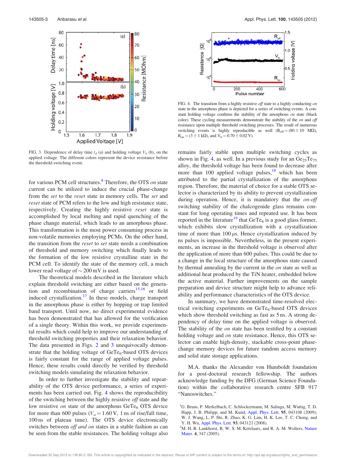

FIG. 3. Dependence of delay time  $t_d$  (a) and holding voltage  $V_h$  (b), on the applied voltage. The different colors represent the device resistance before the threshold switching event.

for various PCM cell structures.<sup>8</sup> Therefore, the OTS on state current can be utilized to induce the crucial phase-change from the *set* to the *reset* state in memory cells. The *set* and *reset* state of PCM refers to the low and high resistance state, respectively. Creating the highly resistive reset state is accomplished by local melting and rapid quenching of the phase change material, which leads to an amorphous phase. This transformation is the most power consuming process in non-volatile memories employing PCMs. On the other hand, the transition from the *reset* to *set* state needs a combination of threshold and memory switching which finally leads to the formation of the low resistive crystalline state in the PCM cell. To identify the state of the memory cell, a much lower read voltage of  $\sim$  200 mV is used.

The theoretical models described in the literature which explain threshold switching are either based on the generation and recombination of charge carriers<sup>15,16</sup> or field induced crystallization.<sup>17</sup> In these models, charge transport in the amorphous phase is either by hopping or trap limited band transport. Until now, no direct experimental evidence has been demonstrated that has allowed for the verification of a single theory. Within this work, we provide experimental results which could help to improve our understanding of threshold switching properties and their relaxation behavior. The data presented in Figs. 2 and 3 unequivocally demonstrate that the holding voltage of  $GeTe_6$ -based OTS devices is fairly constant for the range of applied voltage pulses. Hence, these results could directly be verified by threshold switching models simulating the relaxation behavior.

In order to further investigate the stability and repeatability of the OTS device performance, a series of experiments has been carried out. Fig. 4 shows the reproducibility of the switching between the highly resistive *off* state and the low resistive *on* state of the amorphous  $\text{GeTe}_6$  OTS device for more than 600 pulses ( $V_a$  = 1.60 V, 1 ns of rise/fall time, 100 ns of plateau time). The OTS device electronically switches between *off and on* states in a stable fashion as can be seen from the stable resistances. The holding voltage also



FIG. 4. The transition from a highly resistive off state to a highly conducting on state in the amorphous phase is depicted for a series of switching events. A constant holding voltage confirms the stability of the amorphous on state (black color). These cycling measurements demonstrate the stability of the on and off resistance upon multiple threshold switching processes. The result of numerous switching events is highly reproducible as well  $(R_{off} = (80 \pm 10 \text{ M}\Omega),$  $R_{on} = (3 \pm 1 \text{ k}\Omega)$ , and  $V_h = 0.70 \pm 0.02 \text{ V}$ .

remains fairly stable upon multiple switching cycles as shown in Fig. 4, as well. In a previous study for an  $Ge_{25}Te_{75}$ alloy, the threshold voltage has been found to decrease after more than 100 applied voltage pulses, $18$  which has been attributed to the partial crystallization of the amorphous region. Therefore, the material of choice for a stable OTS selector is characterized by its ability to prevent crystallization during operation. Hence, it is mandatory that the *on-off* switching stability of the chalcogenide glass remains constant for long operating times and repeated use. It has been reported in the literature<sup>19</sup> that GeTe<sub>6</sub> is a good glass former, which exhibits slow crystallization with a crystallization time of more than  $100 \mu s$ . Hence crystallization induced by ns pulses is impossible. Nevertheless, in the present experiments, an increase in the threshold voltage is observed after the application of more than 600 pulses. This could be due to a change in the local structure of the amorphous state caused by thermal annealing by the current in the on state as well as additional heat produced by the TiN heater, embedded below the active material. Further improvements on the sample preparation and device structure might help to advance reliability and performance characteristics of the OTS device.

In summary, we have demonstrated time-resolved electrical switching experiments on GeTe<sub>6</sub>-based OTS devices which show threshold switching as fast as  $5 \text{ ns}$ . A strong dependency of delay time on the applied voltage is observed. The stability of the on state has been testified by a constant holding voltage and *on* state resistance. Hence, this OTS selector can enable high-density, stackable cross-point phasechange memory devices for future random access memory and solid state storage applications.

M.A. thanks the Alexander von Humboldt foundation for a post-doctoral research fellowship. The authors acknowledge funding by the DFG (German Science Foundation) within the collaborative research centre SFB 917 "Nanoswitches."

<sup>&</sup>lt;sup>1</sup>G. Bruns, P. Merkelbach, C. Schlockermann, M. Salinga, M. Wuttig, T. D. Happ, J. B. Philipp, and M. Kund, Appl. Phys. Lett. 95, 043108 (2009); W. J. Wang, L. P. Shi, R. Zhao, K. G. Lim, H. K. Lee, T. C. Chong, and Y. H. Wu, Appl. Phys. Lett. 93, 043121 (2008).

 $2<sup>2</sup>M$ . H. R. Lankhorst, B. W. S. M. Ketelaars, and R. A. M. Wolters, Nature Mater. 4, 347 (2005).